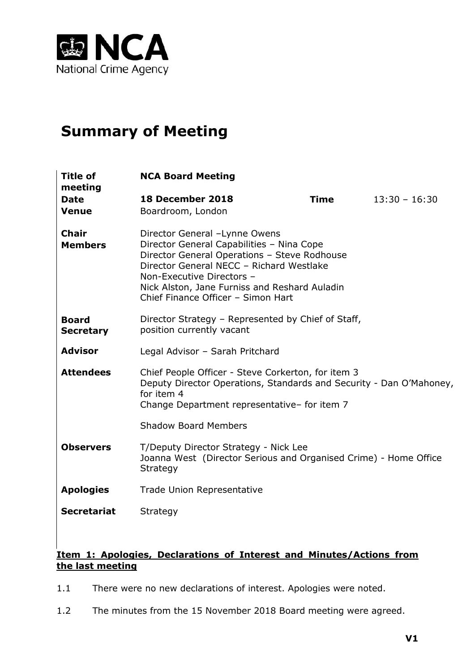

# **Summary of Meeting**

| <b>Title of</b><br>meeting       | <b>NCA Board Meeting</b>                                                                                                                                                                                                                                                                   |             |                 |
|----------------------------------|--------------------------------------------------------------------------------------------------------------------------------------------------------------------------------------------------------------------------------------------------------------------------------------------|-------------|-----------------|
| <b>Date</b><br><b>Venue</b>      | 18 December 2018<br>Boardroom, London                                                                                                                                                                                                                                                      | <b>Time</b> | $13:30 - 16:30$ |
| <b>Chair</b><br><b>Members</b>   | Director General -Lynne Owens<br>Director General Capabilities - Nina Cope<br>Director General Operations - Steve Rodhouse<br>Director General NECC - Richard Westlake<br>Non-Executive Directors -<br>Nick Alston, Jane Furniss and Reshard Auladin<br>Chief Finance Officer - Simon Hart |             |                 |
| <b>Board</b><br><b>Secretary</b> | Director Strategy - Represented by Chief of Staff,<br>position currently vacant                                                                                                                                                                                                            |             |                 |
| <b>Advisor</b>                   | Legal Advisor - Sarah Pritchard                                                                                                                                                                                                                                                            |             |                 |
| <b>Attendees</b>                 | Chief People Officer - Steve Corkerton, for item 3<br>Deputy Director Operations, Standards and Security - Dan O'Mahoney,<br>for item 4<br>Change Department representative- for item 7<br><b>Shadow Board Members</b>                                                                     |             |                 |
|                                  |                                                                                                                                                                                                                                                                                            |             |                 |
| <b>Observers</b>                 | T/Deputy Director Strategy - Nick Lee<br>Joanna West (Director Serious and Organised Crime) - Home Office<br><b>Strategy</b>                                                                                                                                                               |             |                 |
| <b>Apologies</b>                 | <b>Trade Union Representative</b>                                                                                                                                                                                                                                                          |             |                 |
| <b>Secretariat</b>               | Strategy                                                                                                                                                                                                                                                                                   |             |                 |

## **Item 1: Apologies, Declarations of Interest and Minutes/Actions from the last meeting**

- 1.1 There were no new declarations of interest. Apologies were noted.
- 1.2 The minutes from the 15 November 2018 Board meeting were agreed.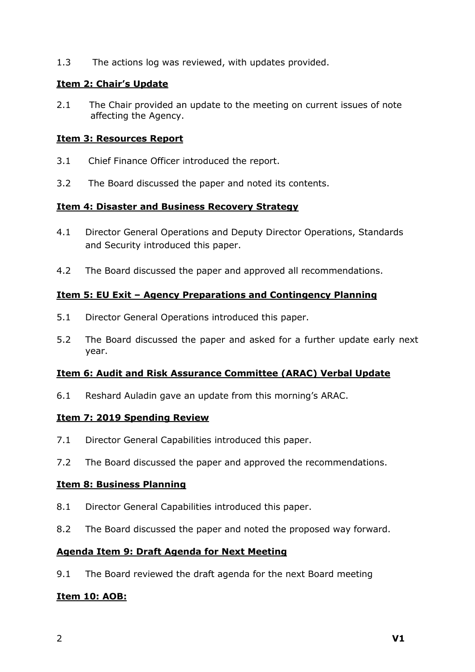1.3 The actions log was reviewed, with updates provided.

### **Item 2: Chair's Update**

2.1 The Chair provided an update to the meeting on current issues of note affecting the Agency.

### **Item 3: Resources Report**

- 3.1 Chief Finance Officer introduced the report.
- 3.2 The Board discussed the paper and noted its contents.

### **Item 4: Disaster and Business Recovery Strategy**

- 4.1 Director General Operations and Deputy Director Operations, Standards and Security introduced this paper.
- 4.2 The Board discussed the paper and approved all recommendations.

### **Item 5: EU Exit – Agency Preparations and Contingency Planning**

- 5.1 Director General Operations introduced this paper.
- 5.2 The Board discussed the paper and asked for a further update early next year.

### **Item 6: Audit and Risk Assurance Committee (ARAC) Verbal Update**

6.1 Reshard Auladin gave an update from this morning's ARAC.

## **Item 7: 2019 Spending Review**

- 7.1 Director General Capabilities introduced this paper.
- 7.2 The Board discussed the paper and approved the recommendations.

### **Item 8: Business Planning**

- 8.1 Director General Capabilities introduced this paper.
- 8.2 The Board discussed the paper and noted the proposed way forward.

### **Agenda Item 9: Draft Agenda for Next Meeting**

9.1 The Board reviewed the draft agenda for the next Board meeting

## **Item 10: AOB:**